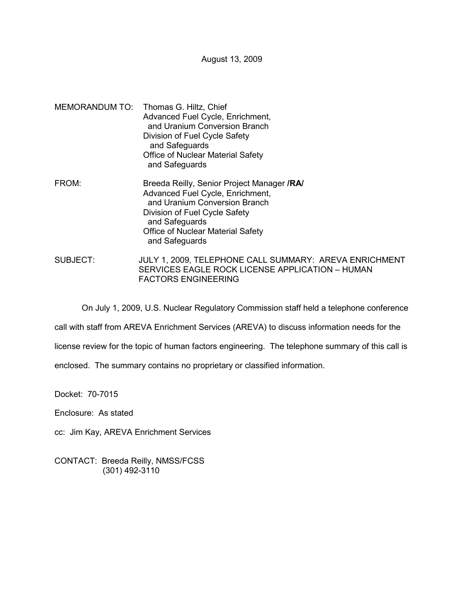August 13, 2009

- MEMORANDUM TO: Thomas G. Hiltz, Chief Advanced Fuel Cycle, Enrichment, and Uranium Conversion Branch Division of Fuel Cycle Safety and Safeguards Office of Nuclear Material Safety and Safeguards
- FROM: Breeda Reilly, Senior Project Manager **/RA/** Advanced Fuel Cycle, Enrichment, and Uranium Conversion Branch Division of Fuel Cycle Safety and Safeguards Office of Nuclear Material Safety and Safeguards
- SUBJECT: JULY 1, 2009, TELEPHONE CALL SUMMARY: AREVA ENRICHMENT SERVICES EAGLE ROCK LICENSE APPLICATION – HUMAN FACTORS ENGINEERING

On July 1, 2009, U.S. Nuclear Regulatory Commission staff held a telephone conference

call with staff from AREVA Enrichment Services (AREVA) to discuss information needs for the

license review for the topic of human factors engineering. The telephone summary of this call is

enclosed. The summary contains no proprietary or classified information.

Docket: 70-7015

Enclosure: As stated

cc: Jim Kay, AREVA Enrichment Services

CONTACT: Breeda Reilly, NMSS/FCSS (301) 492-3110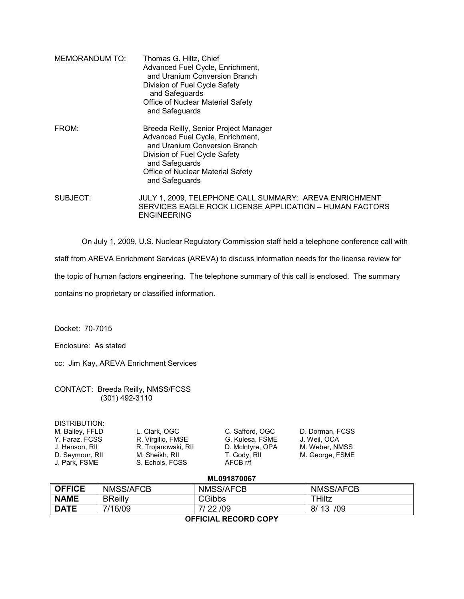| MEMORANDUM TO: | Thomas G. Hiltz, Chief<br>Advanced Fuel Cycle, Enrichment,<br>and Uranium Conversion Branch<br>Division of Fuel Cycle Safety<br>and Safeguards<br>Office of Nuclear Material Safety<br>and Safeguards                       |
|----------------|-----------------------------------------------------------------------------------------------------------------------------------------------------------------------------------------------------------------------------|
| FROM:          | Breeda Reilly, Senior Project Manager<br>Advanced Fuel Cycle, Enrichment,<br>and Uranium Conversion Branch<br>Division of Fuel Cycle Safety<br>and Safeguards<br><b>Office of Nuclear Material Safety</b><br>and Safeguards |
| SUBJECT:       | JULY 1, 2009, TELEPHONE CALL SUMMARY: AREVA ENRICHMENT<br>SERVICES EAGLE ROCK LICENSE APPLICATION - HUMAN FACTORS<br><b>ENGINEERING</b>                                                                                     |

On July 1, 2009, U.S. Nuclear Regulatory Commission staff held a telephone conference call with

staff from AREVA Enrichment Services (AREVA) to discuss information needs for the license review for

the topic of human factors engineering. The telephone summary of this call is enclosed. The summary

contains no proprietary or classified information.

Docket: 70-7015

Enclosure: As stated

cc: Jim Kay, AREVA Enrichment Services

CONTACT: Breeda Reilly, NMSS/FCSS (301) 492-3110

| DISTRIBUTION: |
|---------------|
|---------------|

M. Bailey, FFLD L. Clark, OGC C. Safford, OGC D. Dorman, FCSS<br>
Y. Faraz, FCSS R. Virgilio, FMSE G. Kulesa, FSME J. Weil, OCA Y. Faraz, FCSS R. Virgilio, FMSE G. Kulesa, FSME J. Weil, OCA J. Henson, RII R. Trojanowski, RII D. Mclntyre, OPA M. Weber, NMSS U. Henson, RII H. R. Hojanowski, Rii H. D. Monityro, Orithelm, M. George, FSME<br>D. Seymour, RII M. M. Sheikh, RII T. Gody, RII M. George, FSME<br>J. Park, FSME S. Echols, FCSS AFCB r/f S. Echols, FCSS

## **ML091870067**

| <b>OFFICE</b>        | NMSS/AFCB      | <b>NMSS/AFCB</b> | <b>NMSS/AFCB</b> |  |  |
|----------------------|----------------|------------------|------------------|--|--|
| <b>NAME</b>          | <b>BReilly</b> | <b>CGibbs</b>    | THiltz           |  |  |
| <b>DATE</b>          | 7/16/09        | 7/22/09          | /09<br>8/13      |  |  |
| -------------------- |                |                  |                  |  |  |

**OFFICIAL RECORD COPY**